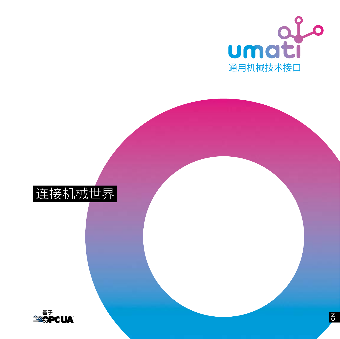



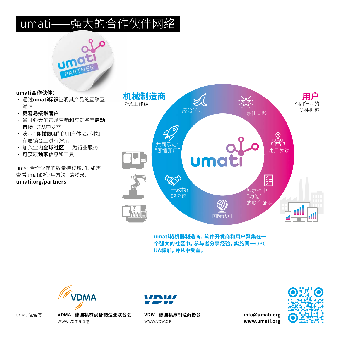# umati——强大的合作伙伴网络



#### **umati合作伙伴:**

- 通过**umati标识**证明其产品的互联互 通性
- **更容易接触客户**
- 通过强大的市场营销和高知名度**启动 市场**,并从中受益
- 演示"**即插即用"**的用户体验,例如 在展销会上进行演示
- 加入业内**全球社区——**为行业服务
- 可获取**独家**信息和工具

umati合作伙伴的数量持续增加。如需 查看umati的使用方法,请登录: **umati.org/partners**



**umati将机器制造商、软件开发商和用户聚集在一 个强大的社区中。参与者分享经验,实施同一OPC UA标准,并从中受益。**





www.vdw.de

**info@umati.org www.umati.org**



umati运营万 **VDMA - 德国机械设备制造业联合会 VDW - 德国机床制造商协会** www.vdma.org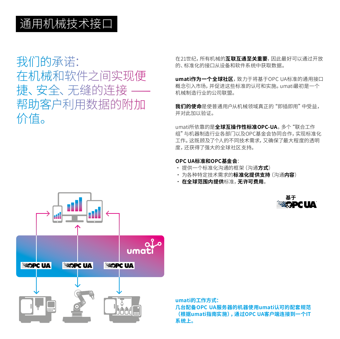### 通用机械技术接

我们的承诺: 在机械和软件之间实现便 捷、安全、无缝的连接 —— 帮助客户利用数据的附加 价值。

在21世纪,所有机械的**互联互通至关重要**,因此最好可以通过开放 的、标准化的接口从设备和软件系统中获取数据。

**umati作为一个全球社区**,致力于将基于OPC UA标准的通用接口 概念引入市场,并促进这些标准的认可和实施。umati最初是一个 机械制造行业的公司联盟。

**我们的使命**是使普通用户从机械领域真正的"即插即用"中受益, 并对此加以验证。

umati所依靠的是**全球互操作性标准OPC-UA**。多个"联合工作 组"与机器制造行业各部门以及OPC基金会协同合作,实现标准化 工作。这既顾及了个人的不同技术需求,又确保了最大程度的透明 度,还获得了强大的全球社区支持。

#### **OPC UA标准和OPC基金会**:

- 提供一个标准化沟通的框架(沟通**方式**)
- 为各种特定技术需求的**标准化提供支持**(沟通**内容**)
- **在全球范围内提供**标准,**无许可费用**。





**umati的工作方式:**

**几台配备OPC UA服务器的机器使用umati认可的配套规范 (根据umati指南实施),通过OPC UA客户端连接到一个IT 系统上。**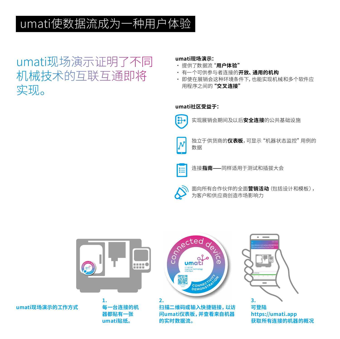### umati使数据流成为一种用户体验

### umati现场演示证明了不同 机械技术的互联互通即将 实现。

**umati现场演示:**

- 提供了数据流"**用户体验"**
- 有一个可供参与者连接的**开放、通用的机构**
- 即使在展销会这种环境条件下,也能实现机械和多个软件应 用程序之间的**"交叉连接"**

#### **umati社区受益于:**



实现展销会期间及以后**安全连接**的公共基础设施



独立于供货商的**仪表板**,可显示"机器状态监控"用例的 数据



连接**指南——**同样适用于测试和插拔大会



面向所有合作伙伴的全面**营销活动**(包括设计和模板), 为客户和供应商创造市场影响力



**umati现场演示的工作方式**

**umati贴纸。**

**的实时数据流。**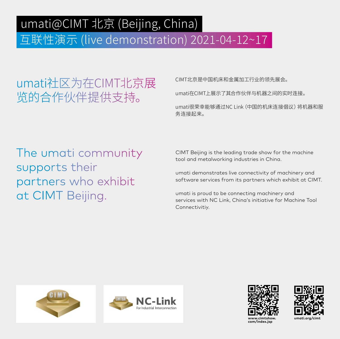# umati@CIMT 北京 (Beijing, China)

互联性演示 (live demonstration) 2021-04-12~17

# umati社区为在CIMT北京展 览的合作伙伴提供支持。

CIMT北京是中国机床和金属加工行业的领先展会。

umati在CIMT上展示了其合作伙伴与机器之间的实时连接。

umati很荣幸能够通过NC Link(中国的机床连接倡议)将机器和服 务连接起来。

### The umati community supports their partners who exhibit at CIMT Beijing.

CIMT Beijing is the leading trade show for the machine tool and metalworking industries in China.

umati demonstrates live connectivity of machinery and software services from its partners which exhibit at CIMT.

umati is proud to be connecting machinery and services with NC Link, China's initiative for Machine Tool Connectivitiy.









**com/index.jsp**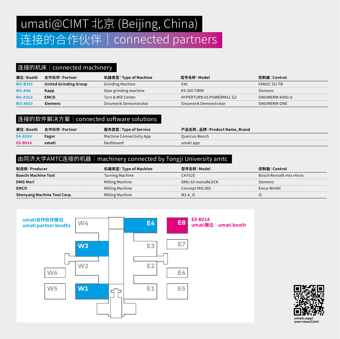# umati@CIMT 北京 (Beijing, China) 连接的合作伙伴 | connected partners

#### 连接的机床|connected machinery

| 展位 Booth       | 合作伙伴│Partner                 | 机器类型   Type of Machine  | 型号名称   Model                     | 控制器   Control     |
|----------------|------------------------------|-------------------------|----------------------------------|-------------------|
| W3-B301        | <b>United Grinding Group</b> | <b>Grinding Machine</b> | S41                              | FANUC 31i-TB      |
| <b>W3-A40</b>  | Kapp                         | Gear grinding machine   | KX 260 TWIN                      | Siemens           |
| W1-A313        | <b>EMCO</b>                  | Turn & Mill Center      | <b>HYPERTURN 65 POWERMILL G2</b> | SINUMERIK 840D sl |
| <b>W3-A002</b> | Siemens                      | Sinumerik Demonstrator  | Sinumerik Demonstrator           | SINUMERIK ONE     |

#### 连接的软件解决方案|connected software solutions

| 展位 Booth | 合作伙伴   Partner | 服务类型   Type of Service   | 产品名称、 品牌   Product Name, Brand |
|----------|----------------|--------------------------|--------------------------------|
| E4-B104  | Fagor          | Machine Connectivity App | Quercus-Bench                  |
| E8-B014  | umati          | Dashboard                | umati.app                      |

#### 由同济大学AMTC连接的机器|machinery connected by Tongji University amtc

| 制造商   Producer              | 机器类型   Type of Machine | 型号名称   Model     | 控制器   Control           |
|-----------------------------|------------------------|------------------|-------------------------|
| - Baochi Machine Tool       | Turning Machine        | CH7525           | Bosch Rexroth mtx micro |
| <b>DMG Mori</b>             | Milling Machine        | DMU 65 monoBLOCK | siemens                 |
| <b>EMCO</b>                 | Milling Machine        | Concept Mill 260 | Emco WinNC              |
| Shenyang Machine Tool Corp. | Milling Machine        | M1.4 i5          |                         |



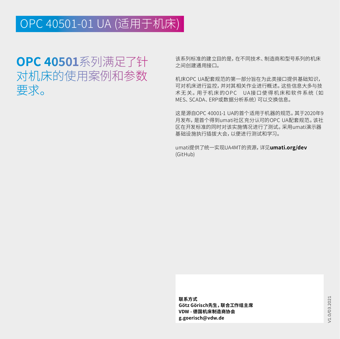### OPC 40501-01 UA (适用于机床)

### **OPC 40501**系列满足了针 对机床的使用案例和参数 要求。

该系列标准的建立目的是,在不同技术、制造商和型号系列的机床 之间创建通用接口。

机床OPC UA配套规范的第一部分旨在为此类接口提供基础知识, 可对机床进行监控,并对其相关作业进行概述。这些信息大多与技 术无关。用于机床的OPC UA接口使得机床和软件系统(如 MES、SCADA、ERP或数据分析系统)可以交换信息。

这是源自OPC 40001-1 UA的首个适用于机器的规范。其于2020年9 月发布,是首个得到umati社区充分认可的OPC UA配套规范。该社 区在开发标准的同时对该实施情况进行了测试。采用umati演示器 基础设施执行插拔大会,以便进行测试和学习。

umati提供了统一实现UA4MT的资源,详见**umati.org/dev**  (GitHub)

**联系方式 Götz Görisch先生,联合工作组主席 VDW - 德国机床制造商协会 g.goerisch@vdw.de**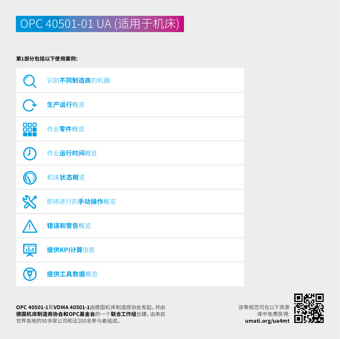# OPC 40501-01 UA (适用于机床)

#### **第1部分包括以下使用案例:**

|     | 识别不同制造商的机器  |
|-----|-------------|
|     | 生产运行概览      |
| 880 | 作业零件概览      |
| ┚   | 作业运行时间概览    |
|     | 机床状态概览      |
| X   | 即将进行的手动操作概览 |
|     | 错误和警告概览     |
| 柬   | 提供KPI计算信息   |
|     | 提供工具数据概览    |

**OPC 40501-1**和**VDMA 40501-1**由德国机床制造商协会发起,并由 **德国机床制造商协会和OPC基金会**的一个**联合工作组**创建,由来自 世界各地的90多家公司和近200名参与者组成。

该等规范可在以下资源 库中免费获得: **umati.org/ua4mt**

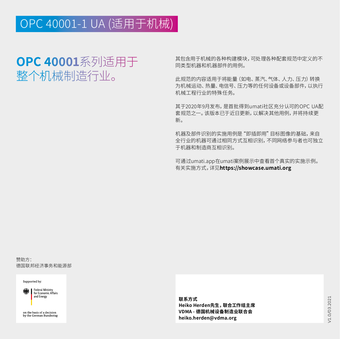### OPC 40001-1 UA (适用于机械)

### **OPC 40001**系列适用于 整个机械制造行业。

其包含用于机械的各种构建模块,可处理各种配套规范中定义的不 同类型机器和机器部件的用例。

此规范的内容适用于将能量(如电、蒸汽、气体、人力、压力)转换 为机械运动、热量、电信号、压力等的任何设备或设备部件,以执行 机械工程行业的特殊任务。

其于2020年9月发布,是首批得到umati社区充分认可的OPC UA配 套规范之一。该版本已于近日更新,以解决其他用例,并将持续更 新。

机器及部件识别的实施用例是"即插即用"目标图像的基础,来自 全行业的机器可通过相同方式互相识别,不同网络参与者也可独立 于机器和制造商互相识别。

可通过umati.app在umati案例展示中查看首个真实的实施示例。 有关实施方式,详见**https://showcase.umati.org**

赞助方: 德国联邦经济事务和能源部

Supported by:

Federal Ministry<br>for Economic Affairs and Energy

on the basis of a decision<br>by the German Bundestag

**联系方式 Heiko Herden先生,联合工作组主席 VDMA - 德国机械设备制造业联合会 heiko.herden@vdma.org**